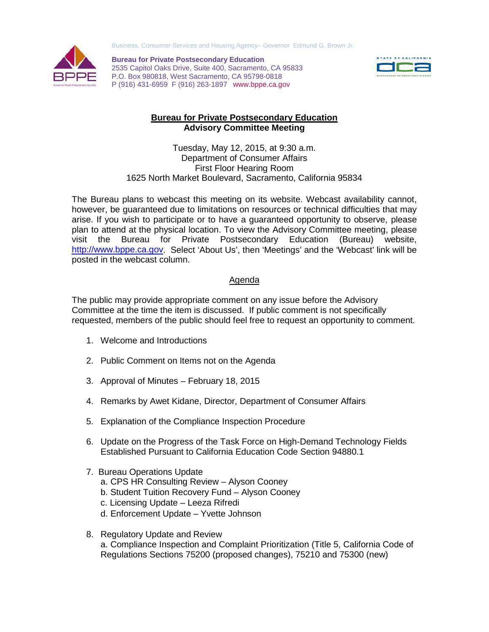



**Bureau for Private Postsecondary Education** 2535 Capitol Oaks Drive, Suite 400, Sacramento, CA 95833 P.O. Box 980818, West Sacramento, CA 95798-0818 P (916) 431-6959 F (916) 263-1897 www.bppe.ca.gov



## **Bureau for Private Postsecondary Education Advisory Committee Meeting**

Tuesday, May 12, 2015, at 9:30 a.m. Department of Consumer Affairs First Floor Hearing Room 1625 North Market Boulevard, Sacramento, California 95834

The Bureau plans to webcast this meeting on its website. Webcast availability cannot, however, be guaranteed due to limitations on resources or technical difficulties that may arise. If you wish to participate or to have a guaranteed opportunity to observe, please plan to attend at the physical location. To view the Advisory Committee meeting, please visit the Bureau for Private Postsecondary Education (Bureau) website, [http://www.bppe.ca.gov.](http://www.bppe.ca.gov/) Select 'About Us', then 'Meetings' and the 'Webcast' link will be posted in the webcast column.

## Agenda

The public may provide appropriate comment on any issue before the Advisory Committee at the time the item is discussed. If public comment is not specifically requested, members of the public should feel free to request an opportunity to comment.

- 1. Welcome and Introductions
- 2. Public Comment on Items not on the Agenda
- 3. Approval of Minutes February 18, 2015
- 4. Remarks by Awet Kidane, Director, Department of Consumer Affairs
- 5. Explanation of the Compliance Inspection Procedure
- 6. Update on the Progress of the Task Force on High-Demand Technology Fields Established Pursuant to California Education Code Section 94880.1
- 7. Bureau Operations Update
	- a. CPS HR Consulting Review Alyson Cooney
	- b. Student Tuition Recovery Fund Alyson Cooney
	- c. Licensing Update Leeza Rifredi
	- d. Enforcement Update Yvette Johnson
- 8. Regulatory Update and Review a. Compliance Inspection and Complaint Prioritization (Title 5, California Code of Regulations Sections 75200 (proposed changes), 75210 and 75300 (new)